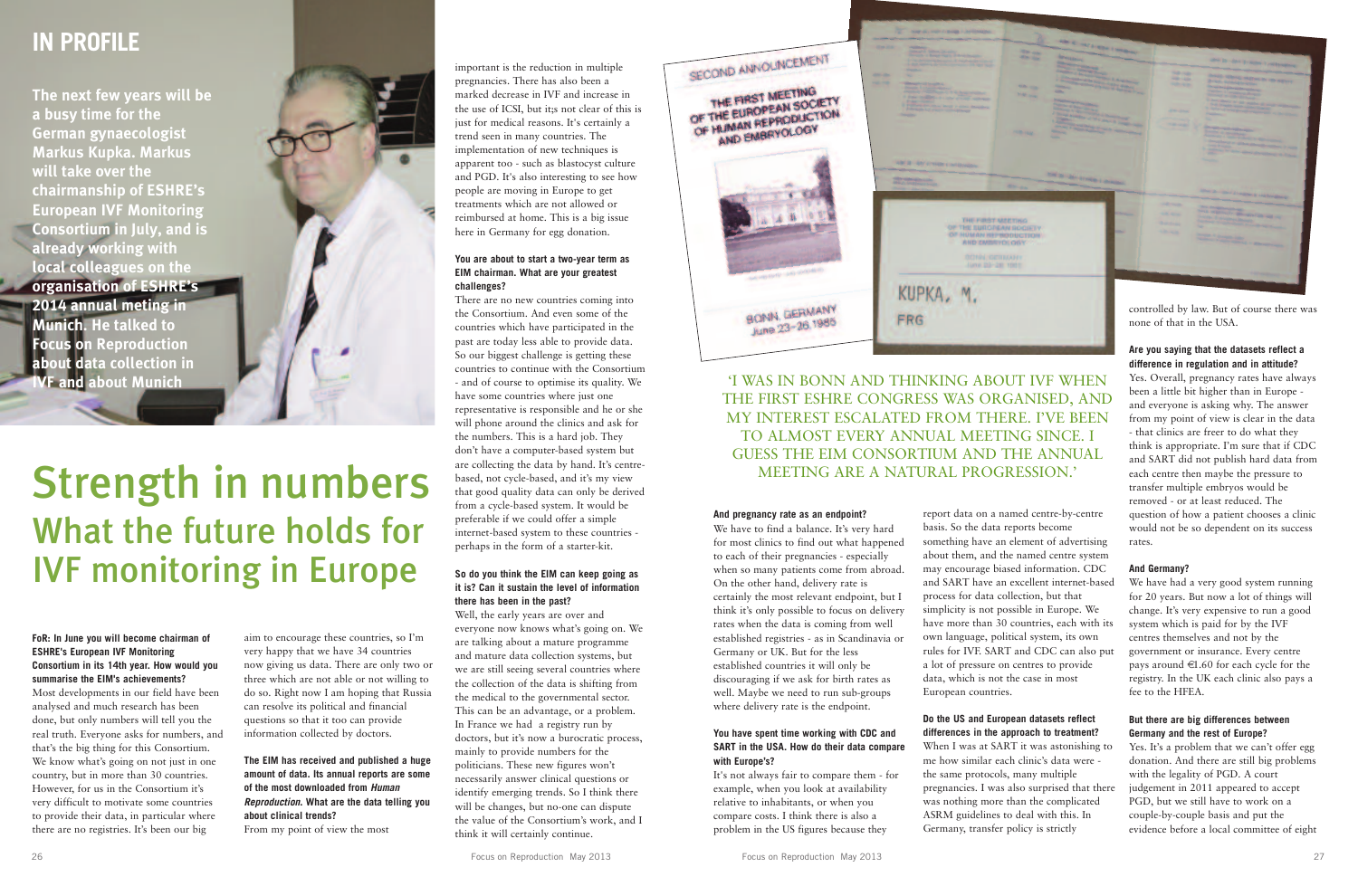#### **FoR: In June you will become chairman of ESHRE's European IVF Monitoring Consortium in its 14th year. How would you summarise the EIM's achievements?**

Most developments in our field have been analysed and much research has been done, but only numbers will tell you the real truth. Everyone asks for numbers, and that's the big thing for this Consortium. We know what's going on not just in one country, but in more than 30 countries. However, for us in the Consortium it's very difficult to motivate some countries to provide their data, in particular where there are no registries. It's been our big

aim to encourage these countries, so I'm very happy that we have 34 countries now giving us data. There are only two or three which are not able or not willing to do so. Right now I am hoping that Russia can resolve its political and financial questions so that it too can provide information collected by doctors.

**The EIM has received and published a huge amount of data. Its annual reports are some of the most downloaded from** *Human Reproduction***. What are the data telling you about clinical trends?** From my point of view the most

## **IN PROFILE**

important is the reduction in multiple pregnancies. There has also been a marked decrease in IVF and increase in the use of ICSI, but it;s not clear of this is just for medical reasons. It's certainly a trend seen in many countries. The implementation of new techniques is apparent too - such as blastocyst culture and PGD. It's also interesting to see how people are moving in Europe to get treatments which are not allowed or reimbursed at home. This is a big issue here in Germany for egg donation.

#### **You are about to start a two-year term as EIM chairman. What are your greatest challenges?**

We have to find a balance. It's very hard for most clinics to find out what happened to each of their pregnancies - especially when so many patients come from abroad. On the other hand, delivery rate is certainly the most relevant endpoint, but I think it's only possible to focus on delivery rates when the data is coming from well established registries - as in Scandinavia or Germany or UK. But for the less established countries it will only be discouraging if we ask for birth rates as well. Maybe we need to run sub-groups where delivery rate is the endpoint.

There are no new countries coming into the Consortium. And even some of the countries which have participated in the past are today less able to provide data. So our biggest challenge is getting these countries to continue with the Consortium - and of course to optimise its quality. We have some countries where just one representative is responsible and he or she will phone around the clinics and ask for the numbers. This is a hard job. They don't have a computer-based system but are collecting the data by hand. It's centrebased, not cycle-based, and it's my view that good quality data can only be derived from a cycle-based system. It would be preferable if we could offer a simple internet-based system to these countries perhaps in the form of a starter-kit.

#### **So do you think the EIM can keep going as it is? Can it sustain the level of information there has been in the past?**

Well, the early years are over and everyone now knows what's going on. We are talking about a mature programme and mature data collection systems, but we are still seeing several countries where the collection of the data is shifting from the medical to the governmental sector. This can be an advantage, or a problem. In France we had a registry run by doctors, but it's now a burocratic process, mainly to provide numbers for the politicians. These new figures won't necessarily answer clinical questions or identify emerging trends. So I think there will be changes, but no-one can dispute the value of the Consortium's work, and I think it will certainly continue.

#### **And pregnancy rate as an endpoint?**

Yes. It's a problem that we can't offer egg donation. And there are still big problems with the legality of PGD. A court judgement in 2011 appeared to accept PGD, but we still have to work on a couple-by-couple basis and put the evidence before a local committee of eight

#### **You have spent time working with CDC and SART in the USA. How do their data compare with Europe's?**

It's not always fair to compare them - for example, when you look at availability relative to inhabitants, or when you compare costs. I think there is also a problem in the US figures because they

report data on a named centre-by-centre basis. So the data reports become something have an element of advertising about them, and the named centre system may encourage biased information. CDC and SART have an excellent internet-based process for data collection, but that simplicity is not possible in Europe. We have more than 30 countries, each with its own language, political system, its own rules for IVF. SART and CDC can also put a lot of pressure on centres to provide data, which is not the case in most European countries.

### **Do the US and European datasets reflect differences in the approach to treatment?**

When I was at SART it was astonishing to me how similar each clinic's data were the same protocols, many multiple pregnancies. I was also surprised that there was nothing more than the complicated ASRM guidelines to deal with this. In Germany, transfer policy is strictly

# Strength in numbers What the future holds for IVF monitoring in Europe

#### 'I WAS IN BONN AND THINKING ABOUT IVF WHEN THE FIRST ESHRE CONGRESS WAS ORGANISED, AND MY INTEREST ESCALATED FROM THERE. I'VE BEEN TO ALMOST EVERY ANNUAL MEETING SINCE. I GUESS THE EIM CONSORTIUM AND THE ANNUAL MEETING ARE A NATURAL PROGRESSION.'

**The next few years will be a busy time for the German gynaecologist Markus Kupka. Markus will take over the chairmanship of ESHRE's European IVF Monitoring Consortium in July, and is already working with local colleagues on the organisation of ESHRE's 2014 annual meting in Munich. He talked to Focus on Reproduction about data collection in IVF and about Munich**



## **difference in regulation and in attitude?**

Yes. Overall, pregnancy rates have always been a little bit higher than in Europe and everyone is asking why. The answer from my point of view is clear in the data - that clinics are freer to do what they think is appropriate. I'm sure that if CDC and SART did not publish hard data from each centre then maybe the pressure to transfer multiple embryos would be removed - or at least reduced. The question of how a patient chooses a clinic would not be so dependent on its success rates.

#### **And Germany?**

We have had a very good system running for 20 years. But now a lot of things will change. It's very expensive to run a good system which is paid for by the IVF centres themselves and not by the government or insurance. Every centre pays around  $\in$ 1.60 for each cycle for the registry. In the UK each clinic also pays a fee to the HFEA.

#### **But there are big differences between Germany and the rest of Europe?**